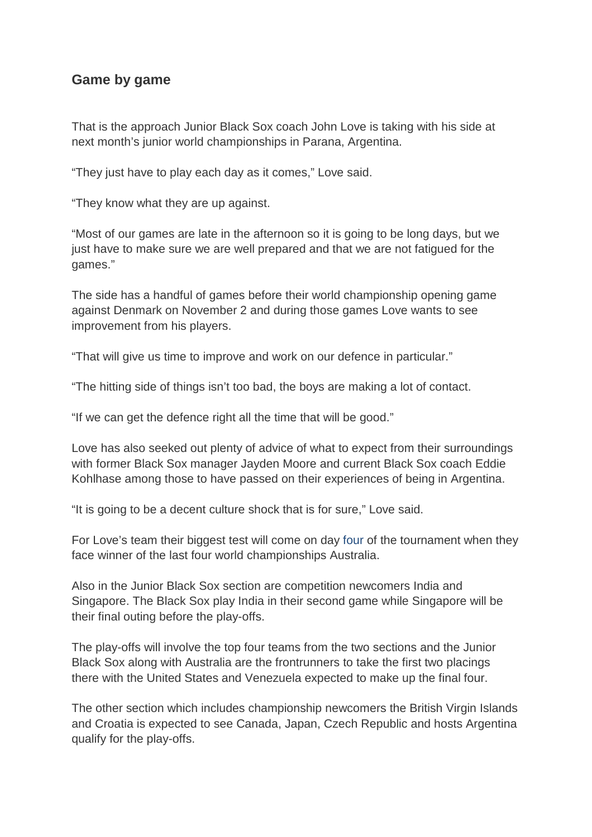## **Game by game**

That is the approach Junior Black Sox coach John Love is taking with his side at next month's junior world championships in Parana, Argentina.

"They just have to play each day as it comes," Love said.

"They know what they are up against.

"Most of our games are late in the afternoon so it is going to be long days, but we just have to make sure we are well prepared and that we are not fatigued for the games."

The side has a handful of games before their world championship opening game against Denmark on November 2 and during those games Love wants to see improvement from his players.

"That will give us time to improve and work on our defence in particular."

"The hitting side of things isn't too bad, the boys are making a lot of contact.

"If we can get the defence right all the time that will be good."

Love has also seeked out plenty of advice of what to expect from their surroundings with former Black Sox manager Jayden Moore and current Black Sox coach Eddie Kohlhase among those to have passed on their experiences of being in Argentina.

"It is going to be a decent culture shock that is for sure," Love said.

For Love's team their biggest test will come on day four of the tournament when they face winner of the last four world championships Australia.

Also in the Junior Black Sox section are competition newcomers India and Singapore. The Black Sox play India in their second game while Singapore will be their final outing before the play-offs.

The play-offs will involve the top four teams from the two sections and the Junior Black Sox along with Australia are the frontrunners to take the first two placings there with the United States and Venezuela expected to make up the final four.

The other section which includes championship newcomers the British Virgin Islands and Croatia is expected to see Canada, Japan, Czech Republic and hosts Argentina qualify for the play-offs.